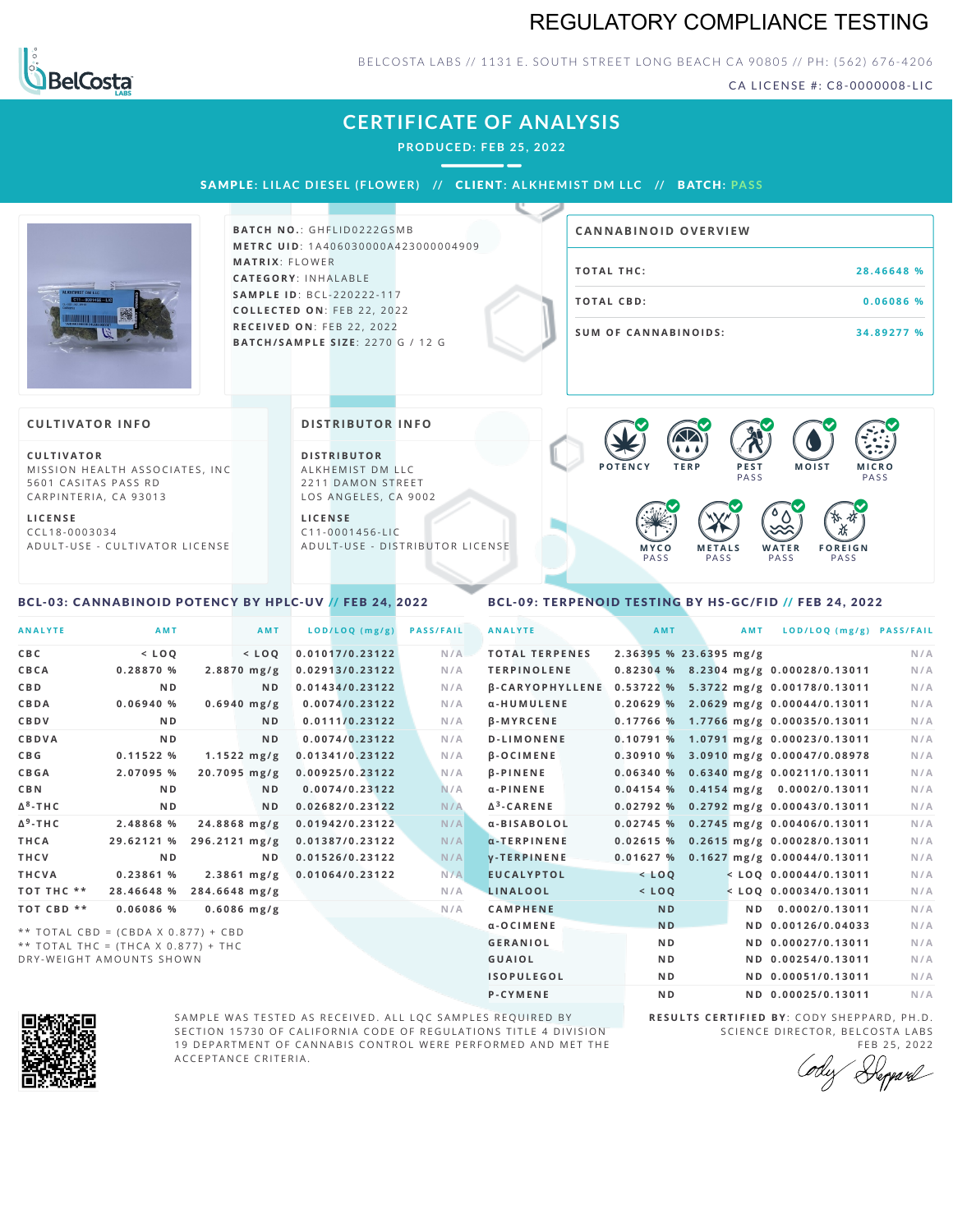## REGULATORY COMPLIANCE TESTING



BELCOSTA LABS // 1131 E. SOUTH STREET LONG BEACH CA 90805 // PH: (562) 676-4206

CA LICENSE #: C8-0000008-LIC

|                                                                                                                                                                            | <b>CERTIFICATE OF ANALYSIS</b><br><b>PRODUCED: FEB 25, 2022</b><br>SAMPLE: LILAC DIESEL (FLOWER) // CLIENT: ALKHEMIST DM LLC // BATCH: PASS                       |                                                                                                                                                                    |
|----------------------------------------------------------------------------------------------------------------------------------------------------------------------------|-------------------------------------------------------------------------------------------------------------------------------------------------------------------|--------------------------------------------------------------------------------------------------------------------------------------------------------------------|
|                                                                                                                                                                            | <b>BATCH NO.: GHFLID0222GSMB</b><br><b>METRC UID: 1A406030000A423000004909</b>                                                                                    | <b>CANNABINOID OVERVIEW</b>                                                                                                                                        |
|                                                                                                                                                                            | <b>MATRIX: FLOWER</b><br>CATEGORY: INHALABLE                                                                                                                      | <b>TOTAL THC:</b><br>28.46648 %                                                                                                                                    |
|                                                                                                                                                                            | <b>SAMPLE ID: BCL-220222-117</b><br>COLLECTED ON: FEB 22, 2022                                                                                                    | <b>TOTAL CBD:</b><br>0.06086 %                                                                                                                                     |
|                                                                                                                                                                            | RECEIVED ON: FEB 22, 2022<br>BATCH/SAMPLE SIZE: 2270 G / 12 G                                                                                                     | <b>SUM OF CANNABINOIDS:</b><br>34.89277 %                                                                                                                          |
| <b>CULTIVATOR INFO</b>                                                                                                                                                     | <b>DISTRIBUTOR INFO</b>                                                                                                                                           |                                                                                                                                                                    |
| <b>CULTIVATOR</b><br>MISSION HEALTH ASSOCIATES, INC.<br>5601 CASITAS PASS RD<br>CARPINTERIA, CA 93013<br><b>LICENSE</b><br>CCL18-0003034<br>ADULT-USE - CULTIVATOR LICENSE | <b>DISTRIBUTOR</b><br>ALKHEMIST DM LLC<br>2211 DAMON STREET<br>LOS ANGELES, CA 9002<br><b>LICENSE</b><br>$C11 - 0001456 - LIC$<br>ADULT-USE - DISTRIBUTOR LICENSE | POTENCY<br><b>TERP</b><br>PEST<br><b>MOIST</b><br><b>MICRO</b><br>PASS<br>PASS<br><b>METALS</b><br>WATER<br><b>FOREIGN</b><br>MYCO<br>PASS<br>PASS<br>PASS<br>PASS |

### <span id="page-0-0"></span>BCL-03: CANNABINOID POTENCY BY HPLC-UV // FEB 24, 2022

### <span id="page-0-1"></span>BCL-09: TERPENOID TESTING BY HS-GC/FID // FEB 24, 2022

| <b>ANALYTE</b>  | <b>AMT</b>                                                                   |                         | AMT            | LOD/LOQ (mg/g)  | <b>PASS/FAIL</b> | <b>ANALYTE</b>         | AMT                    | AMT | LOD/LOQ (mg/g) PASS/FAIL                |     |
|-----------------|------------------------------------------------------------------------------|-------------------------|----------------|-----------------|------------------|------------------------|------------------------|-----|-----------------------------------------|-----|
|                 |                                                                              |                         |                |                 |                  |                        |                        |     |                                         |     |
| <b>CBC</b>      | $<$ LOO                                                                      |                         | $<$ LOO        | 0.01017/0.23122 | N/A              | <b>TOTAL TERPENES</b>  | 2.36395 % 23.6395 mg/g |     |                                         | N/A |
| CBCA            | 0.28870 %                                                                    | $2.8870$ mg/g           |                | 0.02913/0.23122 | N/A              | <b>TERPINOLENE</b>     |                        |     | 0.82304 % 8.2304 mg/g 0.00028/0.13011   | N/A |
| <b>CBD</b>      | N <sub>D</sub>                                                               |                         | N <sub>D</sub> | 0.01434/0.23122 | N/A              | <b>B-CARYOPHYLLENE</b> |                        |     | 0.53722 % 5.3722 mg/g 0.00178/0.13011   | N/A |
| CBDA            | 0.06940%                                                                     | $0.6940$ mg/g           |                | 0.0074/0.23122  | N/A              | α-HUMULENE             |                        |     | $0.20629$ % 2.0629 mg/g 0.00044/0.13011 | N/A |
| CBDV            | N <sub>D</sub>                                                               |                         | N <sub>D</sub> | 0.0111/0.23122  | N/A              | $\beta$ -MYRCENE       |                        |     | 0.17766 % 1.7766 mg/g 0.00035/0.13011   | N/A |
| <b>CBDVA</b>    | N <sub>D</sub>                                                               |                         | N <sub>D</sub> | 0.0074/0.23122  | N/A              | <b>D-LIMONENE</b>      | 0.10791%               |     | 1.0791 mg/g 0.00023/0.13011             | N/A |
| C B G           | 0.11522%                                                                     | $1.1522 \, \text{mg/g}$ |                | 0.01341/0.23122 | N/A              | <b>B-OCIMENE</b>       |                        |     | $0.30910\%$ 3.0910 mg/g 0.00047/0.08978 | N/A |
| <b>CBGA</b>     | 2.07095 %                                                                    | $20.7095$ mg/g          |                | 0.00925/0.23122 | N/A              | <b>B-PINENE</b>        |                        |     | 0.06340 % 0.6340 mg/g 0.00211/0.13011   | N/A |
| <b>CBN</b>      | N <sub>D</sub>                                                               |                         | N <sub>D</sub> | 0.0074/0.23122  | N/A              | $\alpha$ -PINENE       |                        |     | $0.04154$ % 0.4154 mg/g 0.0002/0.13011  | N/A |
| $\Delta^8$ -THC | N <sub>D</sub>                                                               |                         | N <sub>D</sub> | 0.02682/0.23122 | N/A              | $\Delta^3$ -CARENE     | 0.02792%               |     | $0.2792$ mg/g $0.00043/0.13011$         | N/A |
| $\Delta^9$ -THC | 2.48868 %                                                                    | $24.8868$ mg/g          |                | 0.01942/0.23122 | N/A              | α-BISABOLOL            | 0.02745%               |     | $0.2745$ mg/g $0.00406/0.13011$         | N/A |
| THCA            | 29.62121 %                                                                   | 296.2121 mg/g           |                | 0.01387/0.23122 | N/A              | $\alpha$ -TERPINENE    | 0.02615%               |     | 0.2615 mg/g 0.00028/0.13011             | N/A |
| <b>THCV</b>     | N <sub>D</sub>                                                               |                         | N <sub>D</sub> | 0.01526/0.23122 | N/A              | <b>V-TERPINENE</b>     |                        |     | $0.01627 %$ 0.1627 mg/g 0.00044/0.13011 | N/A |
| THCVA           | 0.23861 %                                                                    | $2.3861$ mg/g           |                | 0.01064/0.23122 | N/A              | <b>EUCALYPTOL</b>      | $<$ LOQ                |     | $<$ LOQ 0.00044/0.13011                 | N/A |
| TOT THC **      | 28.46648 %                                                                   | 284.6648 mg/g           |                |                 | N/A              | LINALOOL               | $<$ LOQ                |     | $<$ LOQ 0.00034/0.13011                 | N/A |
| TOT CBD **      | 0.06086 %                                                                    | $0.6086$ mg/g           |                |                 | N/A              | <b>CAMPHENE</b>        | <b>ND</b>              | N D | 0.0002/0.13011                          | N/A |
|                 |                                                                              |                         |                |                 |                  | α-OCIMENE              | <b>ND</b>              |     | ND 0.00126/0.04033                      | N/A |
|                 | ** TOTAL CBD = (CBDA X 0.877) + CBD<br>** TOTAL THC = $(THCA X 0.877) + THC$ |                         |                |                 |                  | <b>GERANIOL</b>        | N <sub>D</sub>         |     | ND 0.00027/0.13011                      | N/A |
|                 | DRY-WEIGHT AMOUNTS SHOWN                                                     |                         |                |                 |                  | <b>GUAIOL</b>          | N <sub>D</sub>         |     | ND 0.00254/0.13011                      | N/A |
|                 |                                                                              |                         |                |                 |                  | <b>ISOPULEGOL</b>      | N <sub>D</sub>         |     | ND 0.00051/0.13011                      | N/A |



SAMPLE WAS TESTED AS RECEIVED. ALL LQC SAMPLES REQUIRED BY SECTION 15730 OF CALIFORNIA CODE OF REGULATIONS TITLE 4 DIVISION 19 DEPARTMENT OF CANNABIS CONTROL WERE PERFORMED AND MET THE A C C E P T A N C E C R I T E R I A.

**R E S U L T S C E R T I F I E D BY** : C O D Y S H E P P A R D ,P H .D . SCIENCE DIRECTOR, BELCOSTA LABS

**P-CYMENE ND ND 0.00025/0.13011** N/A

FEB 25, 2022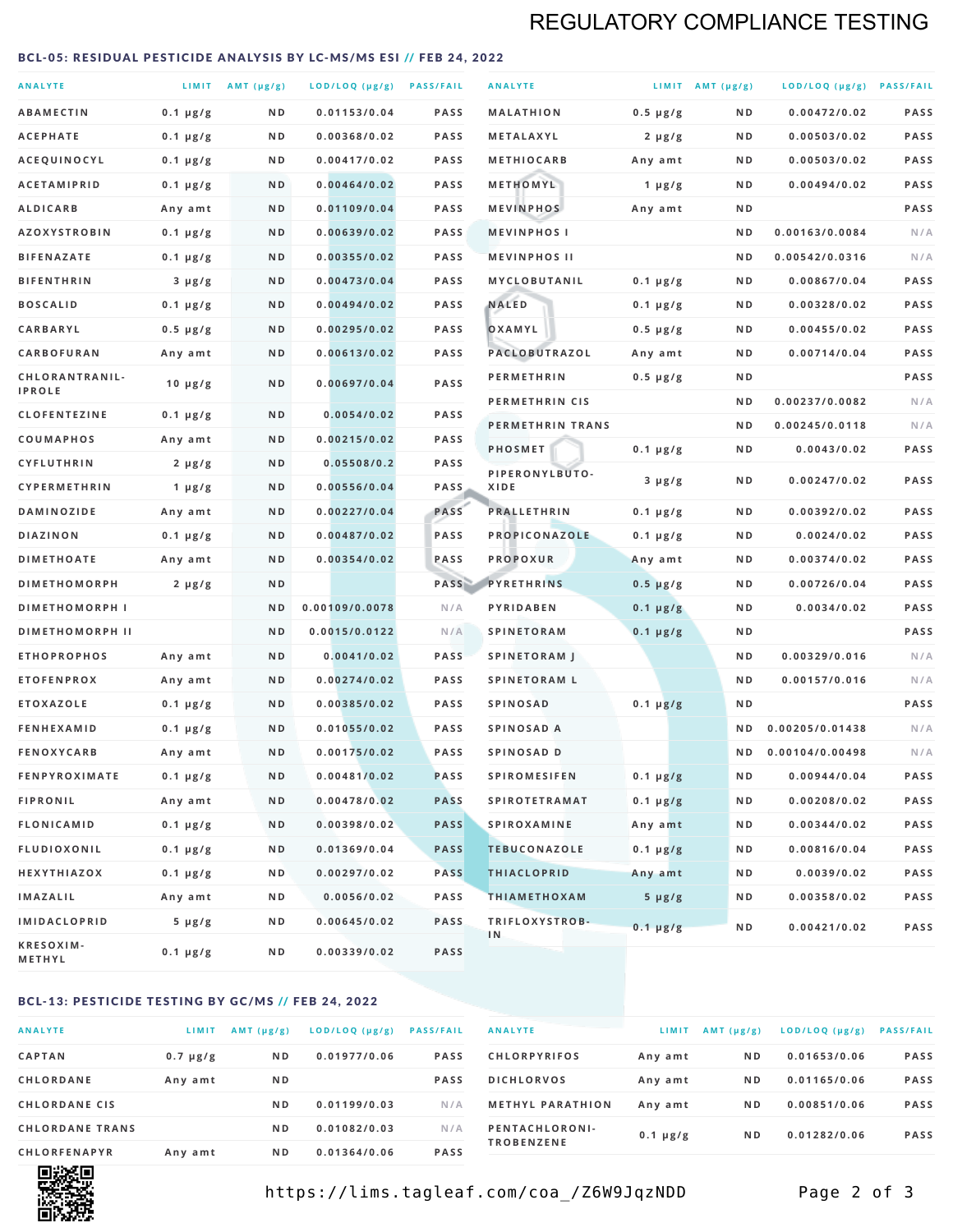## REGULATORY COMPLIANCE TESTING

#### <span id="page-1-0"></span>BCL-05: RESIDUAL PESTICIDE ANALYSIS BY LC-MS/MS ESI // FEB 24, 2022

| <b>ANALYTE</b>                          |                    | LIMIT AMT (µg/g) | LOD/LOQ (µg/g) PASS/FAIL    |                     | <b>ANALYTE</b>                             |                          | LIMIT AMT $(\mu g/g)$ | LOD/LOQ (µg/g) PASS/FAIL       |            |
|-----------------------------------------|--------------------|------------------|-----------------------------|---------------------|--------------------------------------------|--------------------------|-----------------------|--------------------------------|------------|
| <b>ABAMECTIN</b>                        | $0.1 \mu g/g$      | N D              | 0.01153/0.04                | <b>PASS</b>         | <b>MALATHION</b>                           | $0.5 \mu g/g$            | N D                   | 0.00472/0.02                   | PASS       |
| <b>ACEPHATE</b>                         | $0.1 \mu g/g$      | ND               | 0.00368/0.02                | <b>PASS</b>         | METALAXYL                                  | $2 \mu g/g$              | N D                   | 0.00503/0.02                   | PASS       |
| ACEQUINOCYL                             | $0.1 \mu g/g$      | N D              | 0.00417/0.02                | <b>PASS</b>         | <b>METHIOCARB</b>                          | Any amt                  | N D                   | 0.00503/0.02                   | PASS       |
| <b>ACETAMIPRID</b>                      | $0.1 \mu g/g$      | N D              | 0.00464/0.02                | <b>PASS</b>         | METHOMYL                                   | 1 $\mu$ g/g              | N D                   | 0.00494/0.02                   | PASS       |
| <b>ALDICARB</b>                         | Any amt            | N D              | 0.01109/0.04                | <b>PASS</b>         | <b>MEVINPHOS</b>                           | Any amt                  | N D                   |                                | PASS       |
| <b>AZOXYSTROBIN</b>                     | $0.1 \mu g/g$      | N D              | 0.00639/0.02                | <b>PASS</b>         | <b>MEVINPHOSI</b>                          |                          | N D                   | 0.00163/0.0084                 | N/A        |
| <b>BIFENAZATE</b>                       | $0.1 \mu g/g$      | N D              | 0.00355/0.02                | <b>PASS</b>         | <b>MEVINPHOS II</b>                        |                          | ND.                   | 0.00542/0.0316                 | N/A        |
| <b>BIFENTHRIN</b>                       | $3 \mu g/g$        | N D              | 0.00473/0.04                | <b>PASS</b>         | <b>MYCLOBUTANIL</b>                        | $0.1 \mu g/g$            | N D                   | 0.00867/0.04                   | PASS       |
| <b>BOSCALID</b>                         | $0.1 \mu g/g$      | N D              | 0.00494/0.02                | <b>PASS</b>         | <b>NALED</b>                               | $0.1 \mu g/g$            | N D                   | 0.00328/0.02                   | PASS       |
| CARBARYL                                | $0.5 \mu g/g$      | N D              | 0.00295/0.02                | <b>PASS</b>         | OXAMYL                                     | $0.5 \mu g/g$            | N D                   | 0.00455/0.02                   | PASS       |
| CARBOFURAN                              | Any amt            | N D              | 0.00613/0.02                | <b>PASS</b>         | PACLOBUTRAZOL                              | Any amt                  | N D                   | 0.00714/0.04                   | PASS       |
| CHLORANTRANIL-<br><b>IPROLE</b>         | $10 \mu g/g$       | N D              | 0.00697/0.04                | PASS                | <b>PERMETHRIN</b>                          | $0.5 \mu g/g$            | N D                   |                                | PASS       |
| <b>CLOFENTEZINE</b>                     |                    | N D              | 0.0054/0.02                 | <b>PASS</b>         | PERMETHRIN CIS                             |                          | N D                   | 0.00237/0.0082                 | N/A        |
|                                         | $0.1 \mu g/g$      | N D              | 0.00215/0.02                | <b>PASS</b>         | PERMETHRIN TRANS                           |                          | N D                   | 0.00245/0.0118                 | N/A        |
| <b>COUMAPHOS</b><br><b>CYFLUTHRIN</b>   | Any amt            | N D              | 0.05508/0.2                 | <b>PASS</b>         | <b>PHOSMET</b>                             | $0.1 \mu g/g$            | N D                   | 0.0043/0.02                    | PASS       |
| CYPERMETHRIN                            | $2 \mu g/g$        | N D              | 0.00556/0.04                | <b>PASS</b>         | PIPERONYLBUTO-<br>XIDE                     | $3 \mu g/g$              | N D                   | 0.00247/0.02                   | PASS       |
| <b>DAMINOZIDE</b>                       | 1 $\mu$ g/g        | N D              | 0.00227/0.04                | PASS                | <b>PRALLETHRIN</b>                         | $0.1 \mu g/g$            | N D                   | 0.00392/0.02                   | PASS       |
| <b>DIAZINON</b>                         | Any amt            | N D              | 0.00487/0.02                | <b>PASS</b>         | PROPICONAZOLE                              |                          | N D                   | 0.0024/0.02                    | PASS       |
| <b>DIMETHOATE</b>                       | $0.1 \mu g/g$      | N D              | 0.00354/0.02                | PASS                | <b>PROPOXUR</b>                            | $0.1 \mu g/g$            | N D                   | 0.00374/0.02                   | PASS       |
| <b>DIMETHOMORPH</b>                     | Any amt            | ND               |                             | PASS                | <b>PYRETHRINS</b>                          | Any amt<br>$0.5 \mu g/g$ | N D                   | 0.00726/0.04                   | PASS       |
| <b>DIMETHOMORPH I</b>                   | $2 \mu g/g$        | ND               | 0.00109/0.0078              | N/A                 | PYRIDABEN                                  |                          | N D                   | 0.0034/0.02                    | PASS       |
|                                         |                    |                  |                             |                     |                                            | $0.1 \mu g/g$            |                       |                                | PASS       |
| <b>DIMETHOMORPH II</b>                  |                    | ND               | 0.0015/0.0122               | N/A                 | <b>SPINETORAM</b>                          | $0.1 \mu g/g$            | N D                   |                                |            |
| <b>ETHOPROPHOS</b><br><b>ETOFENPROX</b> | Any amt<br>Any amt | N D<br>N D       | 0.0041/0.02<br>0.00274/0.02 | <b>PASS</b><br>PASS | <b>SPINETORAM J</b><br><b>SPINETORAM L</b> |                          | N D<br>N D            | 0.00329/0.016<br>0.00157/0.016 | N/A<br>N/A |
| <b>ETOXAZOLE</b>                        | $0.1 \mu g/g$      | ND               | 0.00385/0.02                | <b>PASS</b>         | <b>SPINOSAD</b>                            | $0.1 \mu g/g$            | N D                   |                                | PASS       |
| <b>FENHEXAMID</b>                       | $0.1 \mu g/g$      | N D              | 0.01055/0.02                | <b>PASS</b>         | SPINOSAD A                                 |                          | N D                   | 0.00205/0.01438                | N/A        |
| <b>FENOXYCARB</b>                       | Any amt            | N D              | 0.00175/0.02                | <b>PASS</b>         | SPINOSAD D                                 |                          | N <sub>D</sub>        | 0.00104/0.00498                | N/A        |
| <b>FENPYROXIMATE</b>                    | $0.1 \mu g/g$      | N D              | 0.00481/0.02                | <b>PASS</b>         | <b>SPIROMESIFEN</b>                        | $0.1 \mu g/g$            | N D                   | 0.00944/0.04                   | PASS       |
| <b>FIPRONIL</b>                         | Any amt            | N D              | 0.00478/0.02                | <b>PASS</b>         | <b>SPIROTETRAMAT</b>                       | $0.1 \mu g/g$            | N D                   | 0.00208/0.02                   | PASS       |
| <b>FLONICAMID</b>                       | $0.1 \mu g/g$      | N D              | 0.00398/0.02                | <b>PASS</b>         | <b>SPIROXAMINE</b>                         | Any amt                  | N D                   | 0.00344/0.02                   | PASS       |
| <b>FLUDIOXONIL</b>                      | $0.1 \mu g/g$      | N D              | 0.01369/0.04                | <b>PASS</b>         | <b>TEBUCONAZOLE</b>                        | $0.1 \mu g/g$            | N D                   | 0.00816/0.04                   | PASS       |
| HEXYTHIAZOX                             | 0.1 µg/g           | N D              | 0.00297/0.02                | <b>PASS</b>         | <b>THIACLOPRID</b>                         | Any amt                  | N D                   | 0.0039/0.02                    | PASS       |
| <b>IMAZALIL</b>                         | Any amt            | N D              | 0.0056/0.02                 | PASS                | <b>THIAMETHOXAM</b>                        | $5 \mu g/g$              | N D                   | 0.00358/0.02                   | PASS       |
| <b>IMIDACLOPRID</b>                     | $5 \mu g/g$        | ND               | 0.00645/0.02                | <b>PASS</b>         | TRIFLOXYSTROB-                             |                          |                       |                                |            |
| KRESOXIM-<br>METHYL                     | $0.1 \mu g/g$      | N D              | 0.00339/0.02                | <b>PASS</b>         | 1N                                         | $0.1 \mu g/g$            | N D                   | 0.00421/0.02                   | PASS       |

### BCL-13: PESTICIDE TESTING BY GC/MS // FEB 24, 2022

| <b>ANALYTE</b>         | LIMIT         | $AMT$ ( $\mu g/g$ ) | $LOD/LOQ$ ( $\mu g/g$ ) | <b>PASS/FAIL</b> |
|------------------------|---------------|---------------------|-------------------------|------------------|
| <b>CAPTAN</b>          | $0.7 \mu g/g$ | N <sub>D</sub>      | 0.01977/0.06            | <b>PASS</b>      |
| <b>CHLORDANE</b>       | Any amt       | N <sub>D</sub>      |                         | <b>PASS</b>      |
| <b>CHLORDANE CIS</b>   |               | N <sub>D</sub>      | 0.01199/0.03            | N/A              |
| <b>CHLORDANE TRANS</b> |               | N <sub>D</sub>      | 0.01082/0.03            | N/A              |
| <b>CHLORFENAPYR</b>    | Any amt       | N <sub>D</sub>      | 0.01364/0.06            | <b>PASS</b>      |

| <b>ANALYTE</b>                      | LIMIT         | AMT (µg/g)     | LOD/LOQ (µg/g) | <b>PASS/FAIL</b> |
|-------------------------------------|---------------|----------------|----------------|------------------|
| <b>CHLORPYRIFOS</b>                 | Any amt       | N <sub>D</sub> | 0.01653/0.06   | <b>PASS</b>      |
| <b>DICHLORVOS</b>                   | Any amt       | N <sub>D</sub> | 0.01165/0.06   | <b>PASS</b>      |
| <b>METHYL PARATHION</b>             | Any amt       | N <sub>D</sub> | 0.00851/0.06   | <b>PASS</b>      |
| PENTACHLORONI-<br><b>TROBENZENE</b> | $0.1 \mu g/g$ | N <sub>D</sub> | 0.01282/0.06   | <b>PASS</b>      |